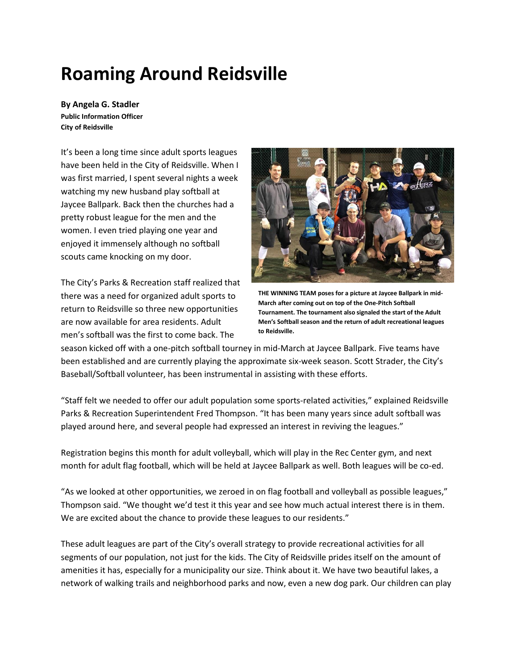## **Roaming Around Reidsville**

**By Angela G. Stadler Public Information Officer City of Reidsville**

It's been a long time since adult sports leagues have been held in the City of Reidsville. When I was first married, I spent several nights a week watching my new husband play softball at Jaycee Ballpark. Back then the churches had a pretty robust league for the men and the women. I even tried playing one year and enjoyed it immensely although no softball scouts came knocking on my door.

The City's Parks & Recreation staff realized that there was a need for organized adult sports to return to Reidsville so three new opportunities are now available for area residents. Adult men's softball was the first to come back. The



**THE WINNING TEAM poses for a picture at Jaycee Ballpark in mid-March after coming out on top of the One-Pitch Softball Tournament. The tournament also signaled the start of the Adult Men's Softball season and the return of adult recreational leagues to Reidsville.**

season kicked off with a one-pitch softball tourney in mid-March at Jaycee Ballpark. Five teams have been established and are currently playing the approximate six-week season. Scott Strader, the City's Baseball/Softball volunteer, has been instrumental in assisting with these efforts.

"Staff felt we needed to offer our adult population some sports-related activities," explained Reidsville Parks & Recreation Superintendent Fred Thompson. "It has been many years since adult softball was played around here, and several people had expressed an interest in reviving the leagues."

Registration begins this month for adult volleyball, which will play in the Rec Center gym, and next month for adult flag football, which will be held at Jaycee Ballpark as well. Both leagues will be co-ed.

"As we looked at other opportunities, we zeroed in on flag football and volleyball as possible leagues," Thompson said. "We thought we'd test it this year and see how much actual interest there is in them. We are excited about the chance to provide these leagues to our residents."

These adult leagues are part of the City's overall strategy to provide recreational activities for all segments of our population, not just for the kids. The City of Reidsville prides itself on the amount of amenities it has, especially for a municipality our size. Think about it. We have two beautiful lakes, a network of walking trails and neighborhood parks and now, even a new dog park. Our children can play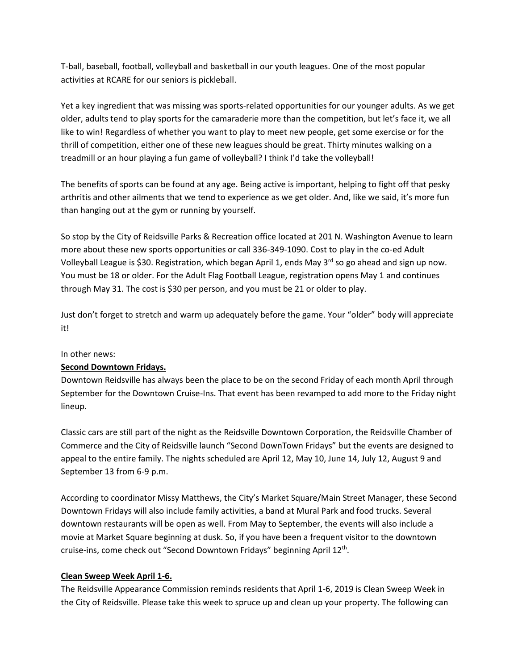T-ball, baseball, football, volleyball and basketball in our youth leagues. One of the most popular activities at RCARE for our seniors is pickleball.

Yet a key ingredient that was missing was sports-related opportunities for our younger adults. As we get older, adults tend to play sports for the camaraderie more than the competition, but let's face it, we all like to win! Regardless of whether you want to play to meet new people, get some exercise or for the thrill of competition, either one of these new leagues should be great. Thirty minutes walking on a treadmill or an hour playing a fun game of volleyball? I think I'd take the volleyball!

The benefits of sports can be found at any age. Being active is important, helping to fight off that pesky arthritis and other ailments that we tend to experience as we get older. And, like we said, it's more fun than hanging out at the gym or running by yourself.

So stop by the City of Reidsville Parks & Recreation office located at 201 N. Washington Avenue to learn more about these new sports opportunities or call 336-349-1090. Cost to play in the co-ed Adult Volleyball League is \$30. Registration, which began April 1, ends May  $3^{rd}$  so go ahead and sign up now. You must be 18 or older. For the Adult Flag Football League, registration opens May 1 and continues through May 31. The cost is \$30 per person, and you must be 21 or older to play.

Just don't forget to stretch and warm up adequately before the game. Your "older" body will appreciate it!

## In other news:

## **Second Downtown Fridays.**

Downtown Reidsville has always been the place to be on the second Friday of each month April through September for the Downtown Cruise-Ins. That event has been revamped to add more to the Friday night lineup.

Classic cars are still part of the night as the Reidsville Downtown Corporation, the Reidsville Chamber of Commerce and the City of Reidsville launch "Second DownTown Fridays" but the events are designed to appeal to the entire family. The nights scheduled are April 12, May 10, June 14, July 12, August 9 and September 13 from 6-9 p.m.

According to coordinator Missy Matthews, the City's Market Square/Main Street Manager, these Second Downtown Fridays will also include family activities, a band at Mural Park and food trucks. Several downtown restaurants will be open as well. From May to September, the events will also include a movie at Market Square beginning at dusk. So, if you have been a frequent visitor to the downtown cruise-ins, come check out "Second Downtown Fridays" beginning April 12<sup>th</sup>.

## **Clean Sweep Week April 1-6.**

The Reidsville Appearance Commission reminds residents that April 1-6, 2019 is Clean Sweep Week in the City of Reidsville. Please take this week to spruce up and clean up your property. The following can